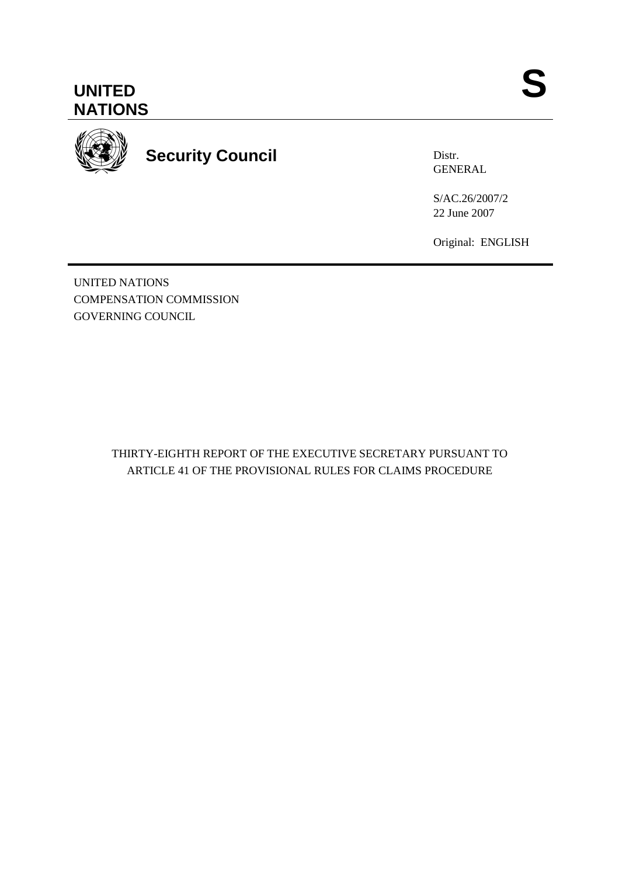



**Security Council** 

Distr. GENERAL

S/AC.26/2007/2 22 June 2007

Original: ENGLISH

UNITED NATIONS COMPENSATION COMMISSION GOVERNING COUNCIL

> THIRTY-EIGHTH REPORT OF THE EXECUTIVE SECRETARY PURSUANT TO ARTICLE 41 OF THE PROVISIONAL RULES FOR CLAIMS PROCEDURE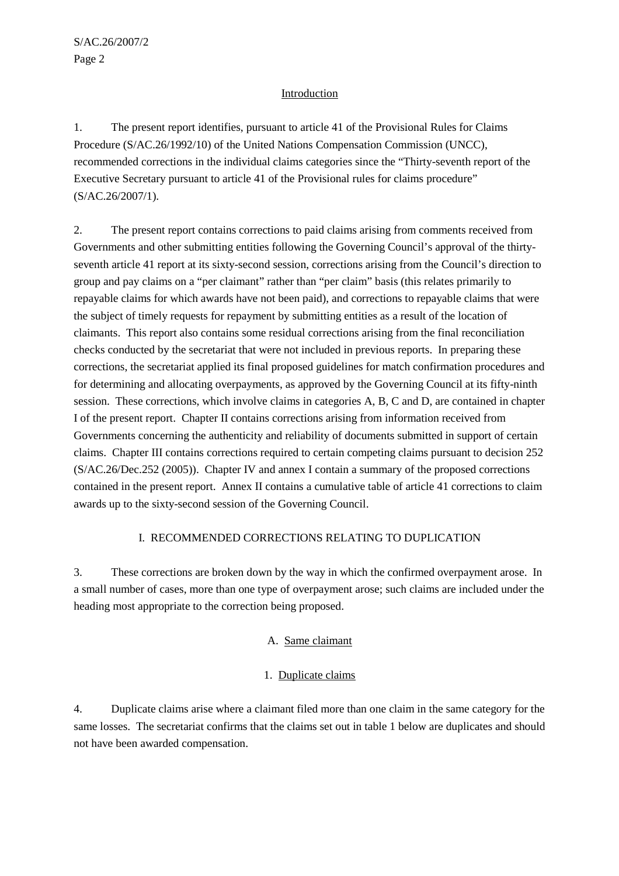## Introduction

1. The present report identifies, pursuant to article 41 of the Provisional Rules for Claims Procedure (S/AC.26/1992/10) of the United Nations Compensation Commission (UNCC), recommended corrections in the individual claims categories since the "Thirty-seventh report of the Executive Secretary pursuant to article 41 of the Provisional rules for claims procedure" (S/AC.26/2007/1).

2. The present report contains corrections to paid claims arising from comments received from Governments and other submitting entities following the Governing Council's approval of the thirtyseventh article 41 report at its sixty-second session, corrections arising from the Council's direction to group and pay claims on a "per claimant" rather than "per claim" basis (this relates primarily to repayable claims for which awards have not been paid), and corrections to repayable claims that were the subject of timely requests for repayment by submitting entities as a result of the location of claimants. This report also contains some residual corrections arising from the final reconciliation checks conducted by the secretariat that were not included in previous reports. In preparing these corrections, the secretariat applied its final proposed guidelines for match confirmation procedures and for determining and allocating overpayments, as approved by the Governing Council at its fifty-ninth session. These corrections, which involve claims in categories A, B, C and D, are contained in chapter I of the present report. Chapter II contains corrections arising from information received from Governments concerning the authenticity and reliability of documents submitted in support of certain claims. Chapter III contains corrections required to certain competing claims pursuant to decision 252 (S/AC.26/Dec.252 (2005)). Chapter IV and annex I contain a summary of the proposed corrections contained in the present report. Annex II contains a cumulative table of article 41 corrections to claim awards up to the sixty-second session of the Governing Council.

# I. RECOMMENDED CORRECTIONS RELATING TO DUPLICATION

3. These corrections are broken down by the way in which the confirmed overpayment arose. In a small number of cases, more than one type of overpayment arose; such claims are included under the heading most appropriate to the correction being proposed.

# A. Same claimant

# 1. Duplicate claims

4. Duplicate claims arise where a claimant filed more than one claim in the same category for the same losses. The secretariat confirms that the claims set out in table 1 below are duplicates and should not have been awarded compensation.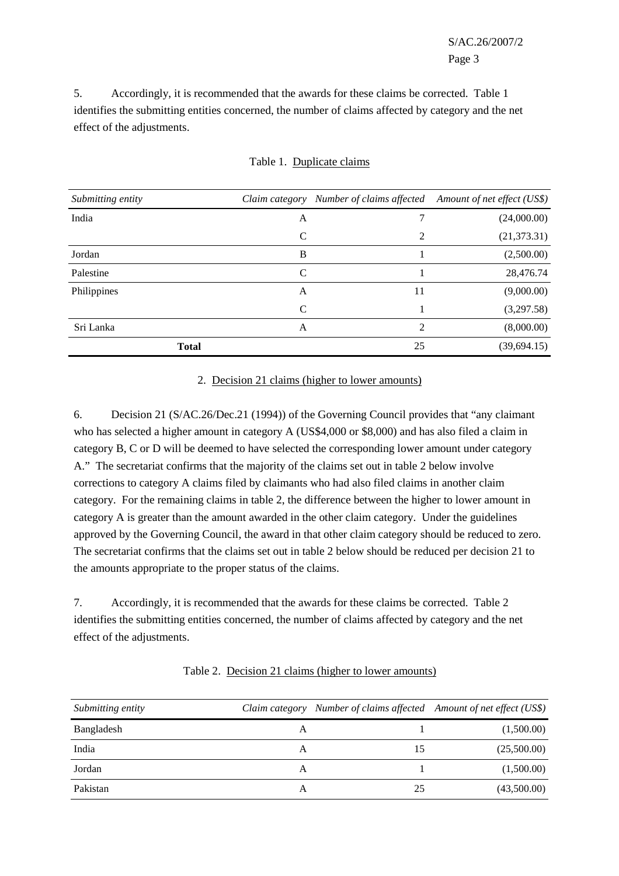S/AC.26/2007/2 Page 3

5. Accordingly, it is recommended that the awards for these claims be corrected. Table 1 identifies the submitting entities concerned, the number of claims affected by category and the net effect of the adjustments.

| Submitting entity | Claim category |    | Number of claims affected Amount of net effect (US\$) |
|-------------------|----------------|----|-------------------------------------------------------|
| India             | A              |    | (24,000.00)                                           |
|                   | C              | 2  | (21, 373.31)                                          |
| Jordan            | B              |    | (2,500.00)                                            |
| Palestine         | C              |    | 28,476.74                                             |
| Philippines       | A              | 11 | (9,000.00)                                            |
|                   | C              |    | (3,297.58)                                            |
| Sri Lanka         | A              | 2  | (8,000.00)                                            |
| <b>Total</b>      |                | 25 | (39, 694.15)                                          |

#### Table 1. Duplicate claims

#### 2. Decision 21 claims (higher to lower amounts)

6. Decision 21 (S/AC.26/Dec.21 (1994)) of the Governing Council provides that "any claimant who has selected a higher amount in category A (US\$4,000 or \$8,000) and has also filed a claim in category B, C or D will be deemed to have selected the corresponding lower amount under category A." The secretariat confirms that the majority of the claims set out in table 2 below involve corrections to category A claims filed by claimants who had also filed claims in another claim category. For the remaining claims in table 2, the difference between the higher to lower amount in category A is greater than the amount awarded in the other claim category. Under the guidelines approved by the Governing Council, the award in that other claim category should be reduced to zero. The secretariat confirms that the claims set out in table 2 below should be reduced per decision 21 to the amounts appropriate to the proper status of the claims.

7. Accordingly, it is recommended that the awards for these claims be corrected. Table 2 identifies the submitting entities concerned, the number of claims affected by category and the net effect of the adjustments.

| Submitting entity |   | Claim category Number of claims affected Amount of net effect (US\$) |             |
|-------------------|---|----------------------------------------------------------------------|-------------|
| Bangladesh        | A |                                                                      | (1,500.00)  |
| India             | A | 15                                                                   | (25,500.00) |
| Jordan            | A |                                                                      | (1,500.00)  |
| Pakistan          | A | 25                                                                   | (43,500.00) |

#### Table 2. Decision 21 claims (higher to lower amounts)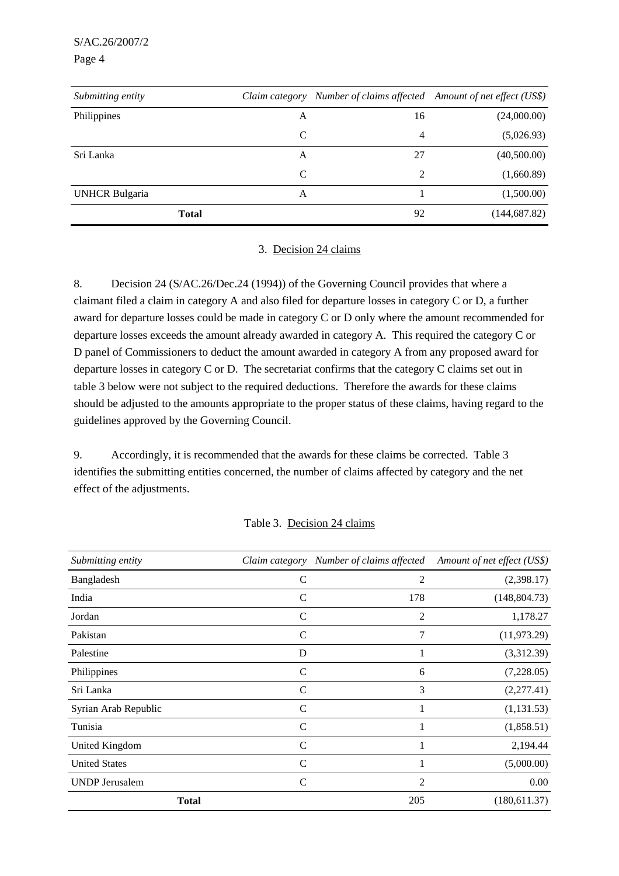S/AC.26/2007/2

Page 4

| Submitting entity     | Claim category | Number of claims affected Amount of net effect (US\$) |               |
|-----------------------|----------------|-------------------------------------------------------|---------------|
| Philippines           | A              | 16                                                    | (24,000.00)   |
|                       | C              | 4                                                     | (5,026.93)    |
| Sri Lanka             | A              | 27                                                    | (40,500.00)   |
|                       | C              | 2                                                     | (1,660.89)    |
| <b>UNHCR Bulgaria</b> | A              |                                                       | (1,500.00)    |
| <b>Total</b>          |                | 92                                                    | (144, 687.82) |

## 3. Decision 24 claims

8. Decision 24 (S/AC.26/Dec.24 (1994)) of the Governing Council provides that where a claimant filed a claim in category A and also filed for departure losses in category C or D, a further award for departure losses could be made in category C or D only where the amount recommended for departure losses exceeds the amount already awarded in category A. This required the category C or D panel of Commissioners to deduct the amount awarded in category A from any proposed award for departure losses in category C or D. The secretariat confirms that the category C claims set out in table 3 below were not subject to the required deductions. Therefore the awards for these claims should be adjusted to the amounts appropriate to the proper status of these claims, having regard to the guidelines approved by the Governing Council.

9. Accordingly, it is recommended that the awards for these claims be corrected. Table 3 identifies the submitting entities concerned, the number of claims affected by category and the net effect of the adjustments.

|  |  |  | Table 3. Decision 24 claims |
|--|--|--|-----------------------------|
|--|--|--|-----------------------------|

| Submitting entity     | Claim category | Number of claims affected | Amount of net effect (US\$) |
|-----------------------|----------------|---------------------------|-----------------------------|
| Bangladesh            | $\mathsf{C}$   | 2                         | (2,398.17)                  |
| India                 | $\mathcal{C}$  | 178                       | (148, 804.73)               |
| Jordan                | $\mathcal{C}$  | 2                         | 1,178.27                    |
| Pakistan              | $\mathcal{C}$  | 7                         | (11, 973.29)                |
| Palestine             | D              |                           | (3,312.39)                  |
| Philippines           | $\mathsf{C}$   | 6                         | (7,228.05)                  |
| Sri Lanka             | $\mathcal{C}$  | 3                         | (2,277.41)                  |
| Syrian Arab Republic  | $\mathcal{C}$  |                           | (1,131.53)                  |
| Tunisia               | $\mathsf{C}$   |                           | (1,858.51)                  |
| United Kingdom        | C              |                           | 2,194.44                    |
| <b>United States</b>  | C              |                           | (5,000.00)                  |
| <b>UNDP</b> Jerusalem | $\mathsf{C}$   | 2                         | 0.00                        |
|                       | <b>Total</b>   | 205                       | (180,611.37)                |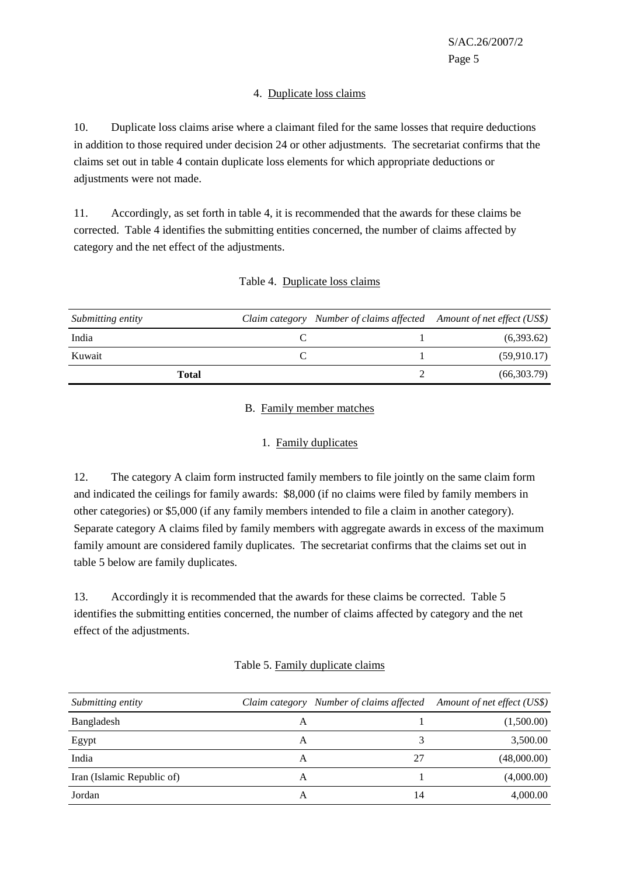## 4. Duplicate loss claims

10. Duplicate loss claims arise where a claimant filed for the same losses that require deductions in addition to those required under decision 24 or other adjustments. The secretariat confirms that the claims set out in table 4 contain duplicate loss elements for which appropriate deductions or adjustments were not made.

11. Accordingly, as set forth in table 4, it is recommended that the awards for these claims be corrected. Table 4 identifies the submitting entities concerned, the number of claims affected by category and the net effect of the adjustments.

| Submitting entity | Claim category Number of claims affected Amount of net effect (US\$) |             |
|-------------------|----------------------------------------------------------------------|-------------|
| India             |                                                                      | (6,393.62)  |
| Kuwait            |                                                                      | (59,910.17) |
| <b>Total</b>      |                                                                      | (66,303.79) |

## Table 4. Duplicate loss claims

## B. Family member matches

### 1. Family duplicates

12. The category A claim form instructed family members to file jointly on the same claim form and indicated the ceilings for family awards: \$8,000 (if no claims were filed by family members in other categories) or \$5,000 (if any family members intended to file a claim in another category). Separate category A claims filed by family members with aggregate awards in excess of the maximum family amount are considered family duplicates. The secretariat confirms that the claims set out in table 5 below are family duplicates.

13. Accordingly it is recommended that the awards for these claims be corrected. Table 5 identifies the submitting entities concerned, the number of claims affected by category and the net effect of the adjustments.

| Submitting entity          |   |    | Claim category Number of claims affected Amount of net effect (US\$) |
|----------------------------|---|----|----------------------------------------------------------------------|
| Bangladesh                 | Α |    | (1,500.00)                                                           |
| Egypt                      | А |    | 3,500.00                                                             |
| India                      | A | 27 | (48,000.00)                                                          |
| Iran (Islamic Republic of) | A |    | (4,000.00)                                                           |
| Jordan                     | A | 14 | 4,000.00                                                             |

### Table 5. Family duplicate claims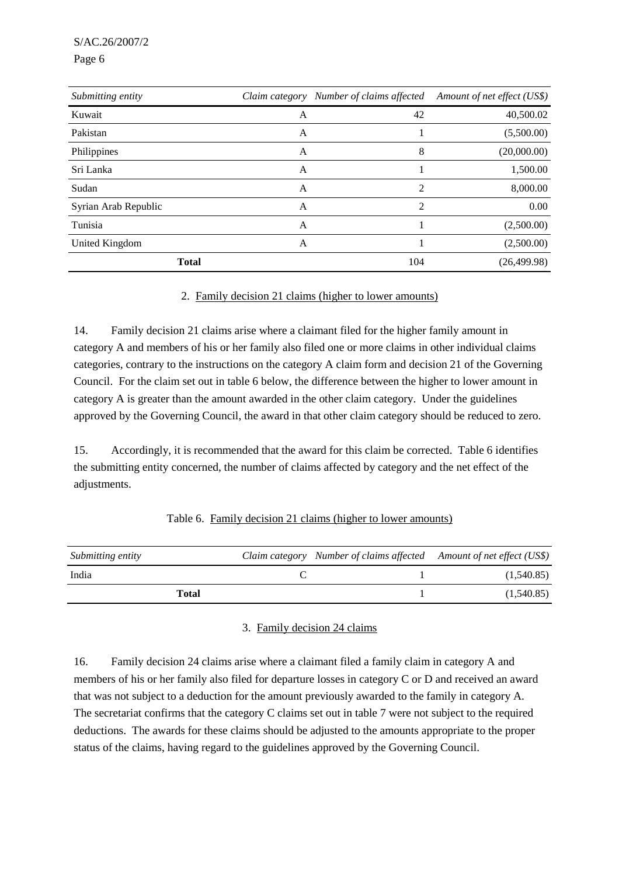S/AC.26/2007/2

Page 6

| Submitting entity    |   | Claim category Number of claims affected | Amount of net effect (US\$) |
|----------------------|---|------------------------------------------|-----------------------------|
| Kuwait               | A | 42                                       | 40,500.02                   |
| Pakistan             | A |                                          | (5,500.00)                  |
| Philippines          | A | 8                                        | (20,000.00)                 |
| Sri Lanka            | A |                                          | 1,500.00                    |
| Sudan                | А | $\mathfrak{D}$                           | 8,000.00                    |
| Syrian Arab Republic | A | 2                                        | 0.00                        |
| Tunisia              | A |                                          | (2,500.00)                  |
| United Kingdom       | A |                                          | (2,500.00)                  |
| <b>Total</b>         |   | 104                                      | (26, 499.98)                |

## 2. Family decision 21 claims (higher to lower amounts)

14. Family decision 21 claims arise where a claimant filed for the higher family amount in category A and members of his or her family also filed one or more claims in other individual claims categories, contrary to the instructions on the category A claim form and decision 21 of the Governing Council. For the claim set out in table 6 below, the difference between the higher to lower amount in category A is greater than the amount awarded in the other claim category. Under the guidelines approved by the Governing Council, the award in that other claim category should be reduced to zero.

15. Accordingly, it is recommended that the award for this claim be corrected. Table 6 identifies the submitting entity concerned, the number of claims affected by category and the net effect of the adjustments.

| <i>Submitting entity</i> |  | Claim category Number of claims affected Amount of net effect (US\$) |
|--------------------------|--|----------------------------------------------------------------------|
| India                    |  | (1,540.85)                                                           |
| Total                    |  | (1,540.85)                                                           |

### Table 6. Family decision 21 claims (higher to lower amounts)

### 3. Family decision 24 claims

16. Family decision 24 claims arise where a claimant filed a family claim in category A and members of his or her family also filed for departure losses in category C or D and received an award that was not subject to a deduction for the amount previously awarded to the family in category A. The secretariat confirms that the category C claims set out in table 7 were not subject to the required deductions. The awards for these claims should be adjusted to the amounts appropriate to the proper status of the claims, having regard to the guidelines approved by the Governing Council.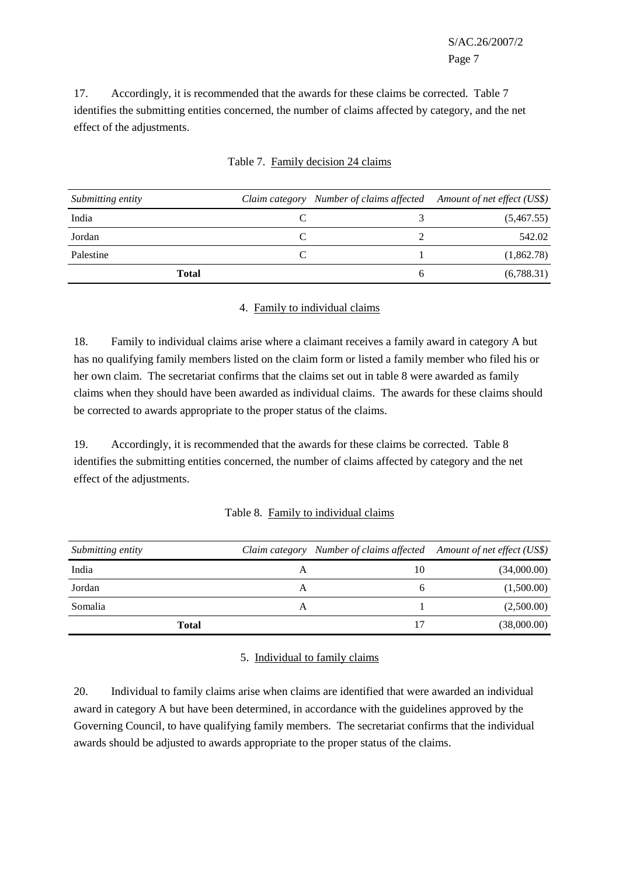S/AC.26/2007/2 Page 7

17. Accordingly, it is recommended that the awards for these claims be corrected. Table 7 identifies the submitting entities concerned, the number of claims affected by category, and the net effect of the adjustments.

| Submitting entity | Claim category Number of claims affected Amount of net effect (US\$) |            |
|-------------------|----------------------------------------------------------------------|------------|
| India             |                                                                      | (5,467.55) |
| Jordan            |                                                                      | 542.02     |
| Palestine         |                                                                      | (1,862.78) |
| <b>Total</b>      |                                                                      | (6,788.31) |

## Table 7. Family decision 24 claims

#### 4. Family to individual claims

18. Family to individual claims arise where a claimant receives a family award in category A but has no qualifying family members listed on the claim form or listed a family member who filed his or her own claim. The secretariat confirms that the claims set out in table 8 were awarded as family claims when they should have been awarded as individual claims. The awards for these claims should be corrected to awards appropriate to the proper status of the claims.

19. Accordingly, it is recommended that the awards for these claims be corrected. Table 8 identifies the submitting entities concerned, the number of claims affected by category and the net effect of the adjustments.

|  | Table 8. Family to individual claims |  |
|--|--------------------------------------|--|
|  |                                      |  |

| Submitting entity |   | Claim category Number of claims affected Amount of net effect (US\$) |             |
|-------------------|---|----------------------------------------------------------------------|-------------|
| India             | А | 10                                                                   | (34,000.00) |
| Jordan            | A |                                                                      | (1,500.00)  |
| Somalia           | Α |                                                                      | (2,500.00)  |
| Total             |   | 17                                                                   | (38,000.00) |

### 5. Individual to family claims

20. Individual to family claims arise when claims are identified that were awarded an individual award in category A but have been determined, in accordance with the guidelines approved by the Governing Council, to have qualifying family members. The secretariat confirms that the individual awards should be adjusted to awards appropriate to the proper status of the claims.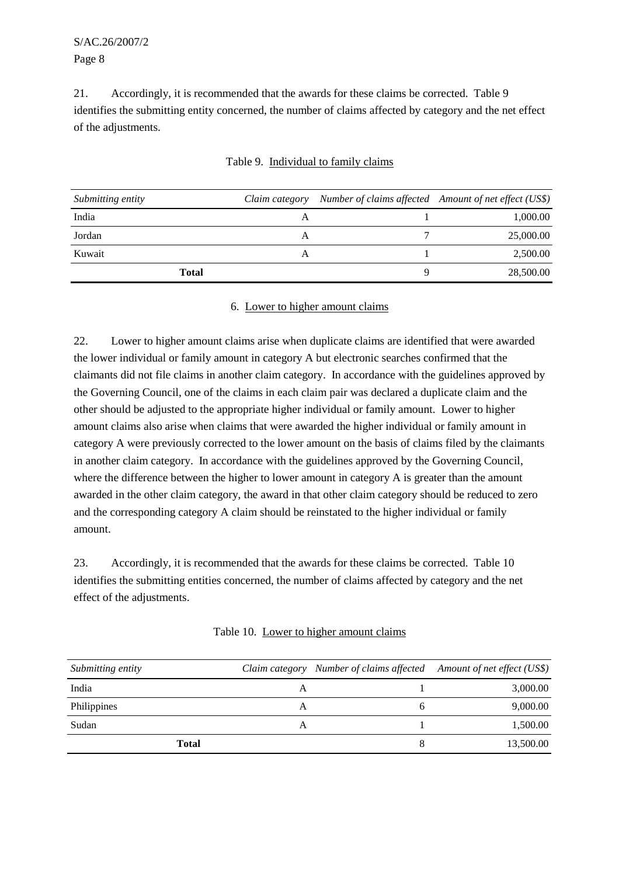21. Accordingly, it is recommended that the awards for these claims be corrected. Table 9 identifies the submitting entity concerned, the number of claims affected by category and the net effect of the adjustments.

| Submitting entity | Claim category | Number of claims affected Amount of net effect (US\$) |
|-------------------|----------------|-------------------------------------------------------|
| India             |                | 1,000.00                                              |
| Jordan            |                | 25,000.00                                             |
| Kuwait            | A              | 2,500.00                                              |
| <b>Total</b>      |                | 28,500.00                                             |

## Table 9. Individual to family claims

#### 6. Lower to higher amount claims

22. Lower to higher amount claims arise when duplicate claims are identified that were awarded the lower individual or family amount in category A but electronic searches confirmed that the claimants did not file claims in another claim category. In accordance with the guidelines approved by the Governing Council, one of the claims in each claim pair was declared a duplicate claim and the other should be adjusted to the appropriate higher individual or family amount. Lower to higher amount claims also arise when claims that were awarded the higher individual or family amount in category A were previously corrected to the lower amount on the basis of claims filed by the claimants in another claim category. In accordance with the guidelines approved by the Governing Council, where the difference between the higher to lower amount in category A is greater than the amount awarded in the other claim category, the award in that other claim category should be reduced to zero and the corresponding category A claim should be reinstated to the higher individual or family amount.

23. Accordingly, it is recommended that the awards for these claims be corrected. Table 10 identifies the submitting entities concerned, the number of claims affected by category and the net effect of the adjustments.

| Table 10. Lower to higher amount claims |  |  |
|-----------------------------------------|--|--|
|                                         |  |  |

| Submitting entity |   | Claim category Number of claims affected Amount of net effect (US\$) |
|-------------------|---|----------------------------------------------------------------------|
| India             |   | 3,000.00                                                             |
| Philippines       | A | 9,000.00                                                             |
| Sudan             | A | 1,500.00                                                             |
| <b>Total</b>      |   | 13,500.00                                                            |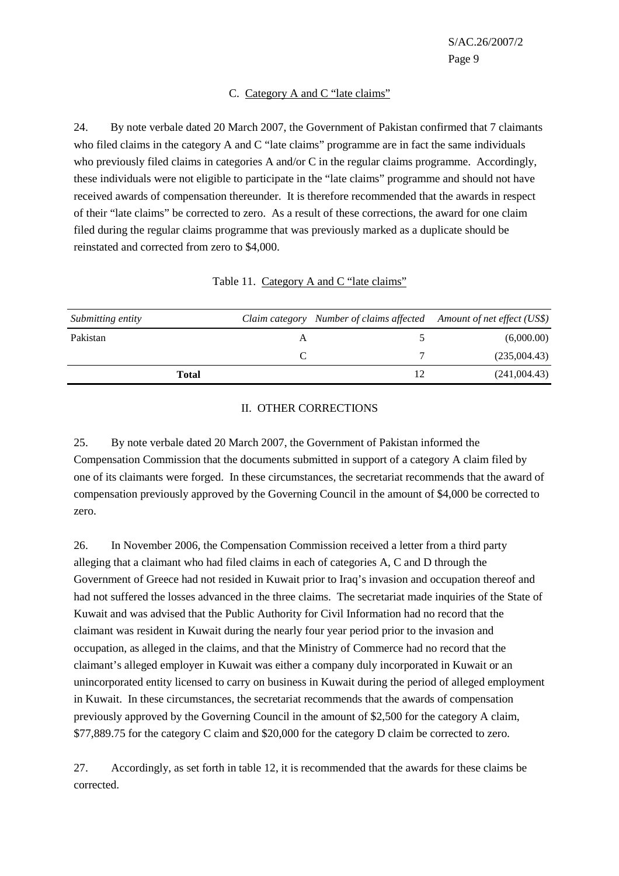### C. Category A and C "late claims"

24. By note verbale dated 20 March 2007, the Government of Pakistan confirmed that 7 claimants who filed claims in the category A and C "late claims" programme are in fact the same individuals who previously filed claims in categories A and/or C in the regular claims programme. Accordingly, these individuals were not eligible to participate in the "late claims" programme and should not have received awards of compensation thereunder. It is therefore recommended that the awards in respect of their "late claims" be corrected to zero. As a result of these corrections, the award for one claim filed during the regular claims programme that was previously marked as a duplicate should be reinstated and corrected from zero to \$4,000.

| Submitting entity |   | Claim category Number of claims affected Amount of net effect (US\$) |              |
|-------------------|---|----------------------------------------------------------------------|--------------|
| Pakistan          | А |                                                                      | (6,000.00)   |
|                   |   |                                                                      | (235,004.43) |
| Total             |   |                                                                      | (241,004.43) |

#### Table 11. Category A and C "late claims"

#### II. OTHER CORRECTIONS

25. By note verbale dated 20 March 2007, the Government of Pakistan informed the Compensation Commission that the documents submitted in support of a category A claim filed by one of its claimants were forged. In these circumstances, the secretariat recommends that the award of compensation previously approved by the Governing Council in the amount of \$4,000 be corrected to zero.

26. In November 2006, the Compensation Commission received a letter from a third party alleging that a claimant who had filed claims in each of categories A, C and D through the Government of Greece had not resided in Kuwait prior to Iraq's invasion and occupation thereof and had not suffered the losses advanced in the three claims. The secretariat made inquiries of the State of Kuwait and was advised that the Public Authority for Civil Information had no record that the claimant was resident in Kuwait during the nearly four year period prior to the invasion and occupation, as alleged in the claims, and that the Ministry of Commerce had no record that the claimant's alleged employer in Kuwait was either a company duly incorporated in Kuwait or an unincorporated entity licensed to carry on business in Kuwait during the period of alleged employment in Kuwait. In these circumstances, the secretariat recommends that the awards of compensation previously approved by the Governing Council in the amount of \$2,500 for the category A claim, \$77,889.75 for the category C claim and \$20,000 for the category D claim be corrected to zero.

27. Accordingly, as set forth in table 12, it is recommended that the awards for these claims be corrected.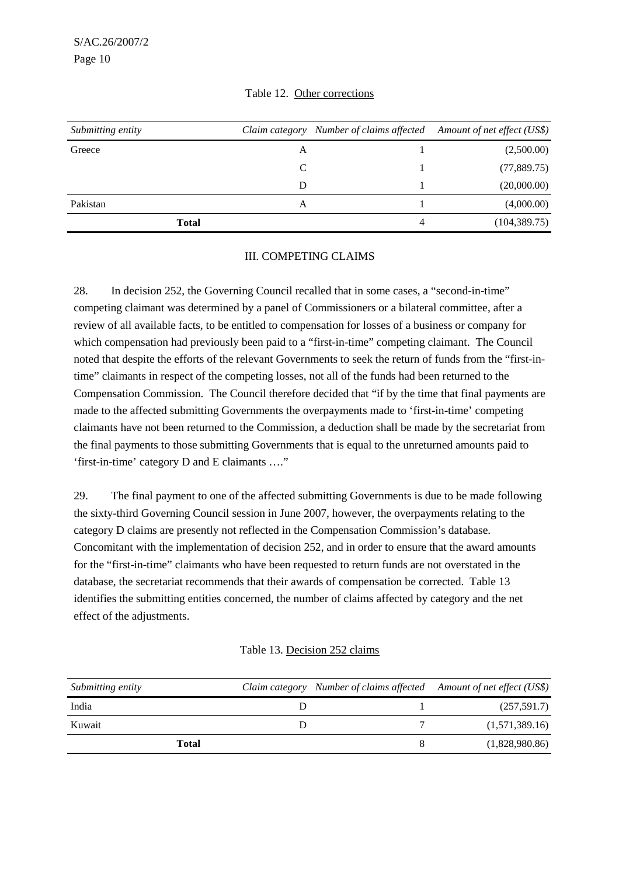| Submitting entity |   | Claim category Number of claims affected Amount of net effect (US\$) |               |
|-------------------|---|----------------------------------------------------------------------|---------------|
| Greece            | А |                                                                      | (2,500.00)    |
|                   | C |                                                                      | (77,889.75)   |
|                   | D |                                                                      | (20,000.00)   |
| Pakistan          | А |                                                                      | (4,000.00)    |
| <b>Total</b>      |   | 4                                                                    | (104, 389.75) |

## Table 12. Other corrections

## III. COMPETING CLAIMS

28. In decision 252, the Governing Council recalled that in some cases, a "second-in-time" competing claimant was determined by a panel of Commissioners or a bilateral committee, after a review of all available facts, to be entitled to compensation for losses of a business or company for which compensation had previously been paid to a "first-in-time" competing claimant. The Council noted that despite the efforts of the relevant Governments to seek the return of funds from the "first-intime" claimants in respect of the competing losses, not all of the funds had been returned to the Compensation Commission. The Council therefore decided that "if by the time that final payments are made to the affected submitting Governments the overpayments made to 'first-in-time' competing claimants have not been returned to the Commission, a deduction shall be made by the secretariat from the final payments to those submitting Governments that is equal to the unreturned amounts paid to 'first-in-time' category D and E claimants …."

29. The final payment to one of the affected submitting Governments is due to be made following the sixty-third Governing Council session in June 2007, however, the overpayments relating to the category D claims are presently not reflected in the Compensation Commission's database. Concomitant with the implementation of decision 252, and in order to ensure that the award amounts for the "first-in-time" claimants who have been requested to return funds are not overstated in the database, the secretariat recommends that their awards of compensation be corrected. Table 13 identifies the submitting entities concerned, the number of claims affected by category and the net effect of the adjustments.

|  | Table 13. Decision 252 claims |  |  |  |
|--|-------------------------------|--|--|--|
|--|-------------------------------|--|--|--|

| Submitting entity |  | Claim category Number of claims affected Amount of net effect (US\$) |
|-------------------|--|----------------------------------------------------------------------|
| India             |  | (257,591.7)                                                          |
| Kuwait            |  | (1,571,389.16)                                                       |
| Total             |  | (1,828,980.86)                                                       |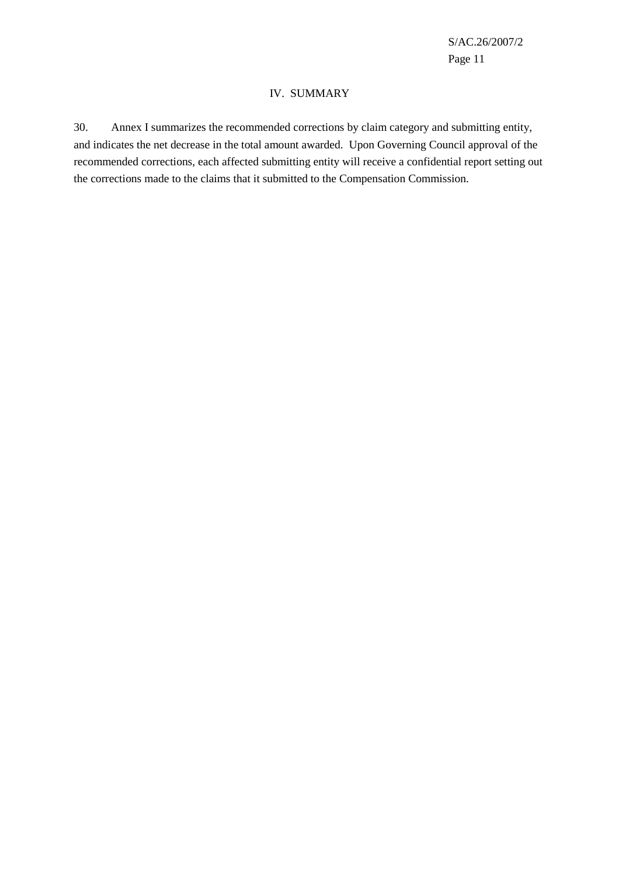#### IV. SUMMARY

30. Annex I summarizes the recommended corrections by claim category and submitting entity, and indicates the net decrease in the total amount awarded. Upon Governing Council approval of the recommended corrections, each affected submitting entity will receive a confidential report setting out the corrections made to the claims that it submitted to the Compensation Commission.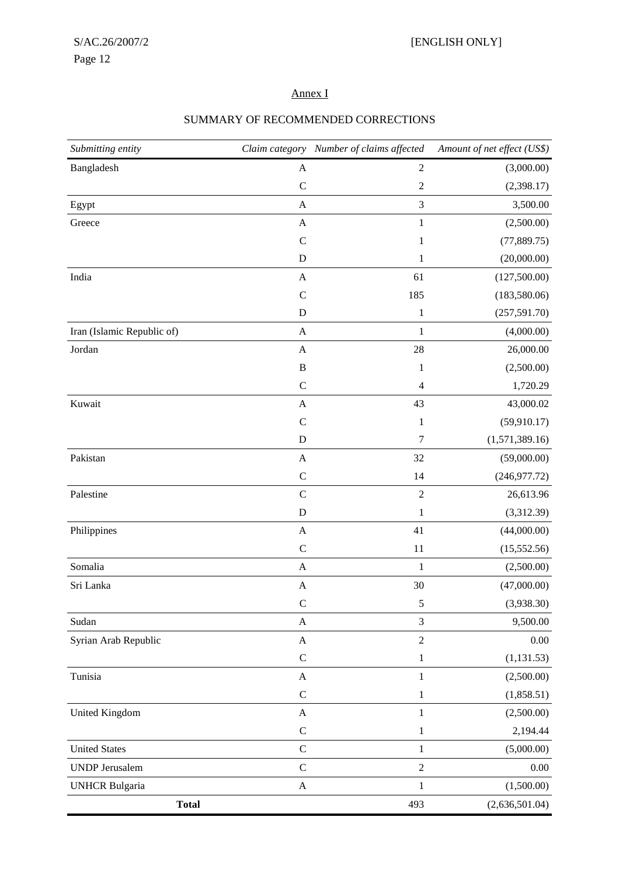# Annex I

| Submitting entity          |                           | Claim category Number of claims affected | Amount of net effect (US\$) |
|----------------------------|---------------------------|------------------------------------------|-----------------------------|
| Bangladesh                 | $\mathbf A$               | $\sqrt{2}$                               | (3,000.00)                  |
|                            | $\mathbf C$               | $\boldsymbol{2}$                         | (2,398.17)                  |
| Egypt                      | $\mathbf A$               | $\mathfrak{Z}$                           | 3,500.00                    |
| Greece                     | $\mathbf{A}$              | $\mathbf{1}$                             | (2,500.00)                  |
|                            | $\mathcal{C}$             | 1                                        | (77, 889.75)                |
|                            | D                         | 1                                        | (20,000.00)                 |
| India                      | A                         | 61                                       | (127,500.00)                |
|                            | $\mathcal{C}$             | 185                                      | (183,580.06)                |
|                            | ${\bf D}$                 | $\,1\,$                                  | (257, 591.70)               |
| Iran (Islamic Republic of) | $\boldsymbol{A}$          | $\mathbf{1}$                             | (4,000.00)                  |
| Jordan                     | $\mathbf{A}$              | 28                                       | 26,000.00                   |
|                            | $\, {\bf B}$              | $\mathbf{1}$                             | (2,500.00)                  |
|                            | $\mathbf C$               | $\overline{4}$                           | 1,720.29                    |
| Kuwait                     | $\mathbf{A}$              | 43                                       | 43,000.02                   |
|                            | $\mathcal{C}$             | $\mathbf{1}$                             | (59, 910.17)                |
|                            | ${\bf D}$                 | $\tau$                                   | (1,571,389.16)              |
| Pakistan                   | $\mathbf{A}$              | 32                                       | (59,000.00)                 |
|                            | $\mathbf C$               | 14                                       | (246, 977.72)               |
| Palestine                  | $\mathbf C$               | $\sqrt{2}$                               | 26,613.96                   |
|                            | ${\bf D}$                 | $\mathbf{1}$                             | (3,312.39)                  |
| Philippines                | $\mathbf{A}$              | 41                                       | (44,000.00)                 |
|                            | $\mathbf C$               | 11                                       | (15, 552.56)                |
| Somalia                    | $\mathbf A$               | $1\,$                                    | (2,500.00)                  |
| Sri Lanka                  | $\mathbf{A}$              | 30                                       | (47,000.00)                 |
|                            | $\mathsf{C}$              | $\mathfrak s$                            | (3,938.30)                  |
| Sudan                      | $\mathbf{A}$              | 3                                        | 9,500.00                    |
| Syrian Arab Republic       | $\boldsymbol{\mathsf{A}}$ | $\overline{2}$                           | $0.00\,$                    |
|                            | $\mathbf C$               | $\mathbf{1}$                             | (1, 131.53)                 |
| Tunisia                    | $\mathbf{A}$              | 1                                        | (2,500.00)                  |
|                            | $\mathsf C$               | $\mathbf{1}$                             | (1,858.51)                  |
| <b>United Kingdom</b>      | $\mathbf{A}$              | $\mathbf{1}$                             | (2,500.00)                  |
|                            | $\mathbf C$               | $\,1\,$                                  | 2,194.44                    |
| <b>United States</b>       | ${\bf C}$                 | $1\,$                                    | (5,000.00)                  |
| <b>UNDP</b> Jerusalem      | $\mathsf{C}$              | $\sqrt{2}$                               | $0.00\,$                    |
| <b>UNHCR Bulgaria</b>      | $\mathbf A$               | $\mathbf 1$                              | (1,500.00)                  |
| <b>Total</b>               |                           | 493                                      | (2,636,501.04)              |

## SUMMARY OF RECOMMENDED CORRECTIONS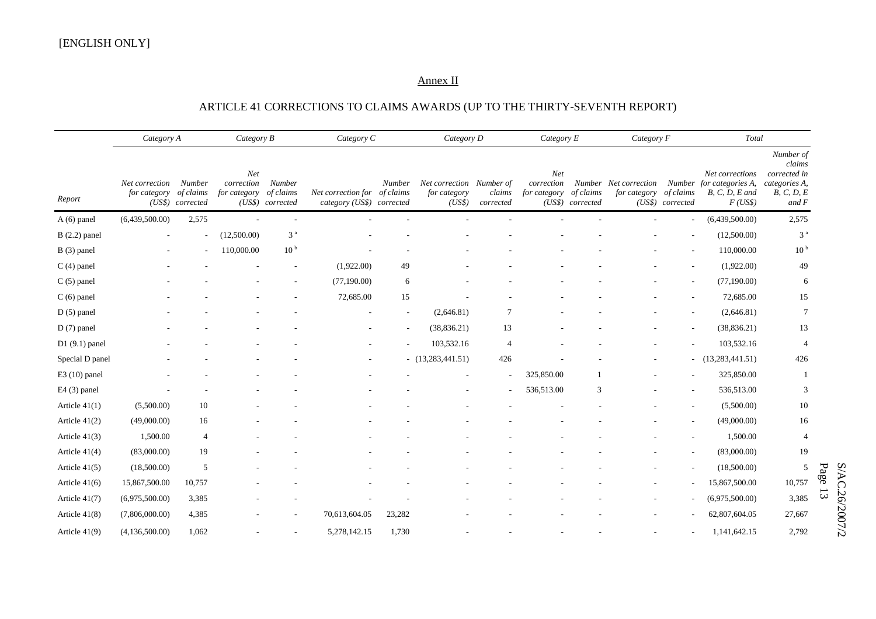## Annex II

# ARTICLE 41 CORRECTIONS TO CLAIMS AWARDS (UP TO THE THIRTY-SEVENTH REPORT)

|                 | Category A                               |                            | Category B                        |                                         | Category C                                                |                          | Category D                                         |                     | Category E                        |                               | Category F                                      |                  | Total                                                                     |                                                                             |                |
|-----------------|------------------------------------------|----------------------------|-----------------------------------|-----------------------------------------|-----------------------------------------------------------|--------------------------|----------------------------------------------------|---------------------|-----------------------------------|-------------------------------|-------------------------------------------------|------------------|---------------------------------------------------------------------------|-----------------------------------------------------------------------------|----------------|
| Report          | Net correction<br>for category of claims | Number<br>(US\$) corrected | Net<br>correction<br>for category | Number<br>of claims<br>(US\$) corrected | Net correction for of claims<br>category (US\$) corrected | Number                   | Net correction Number of<br>for category<br>(US\$) | claims<br>corrected | Net<br>correction<br>for category | of claims<br>(US\$) corrected | Number Net correction<br>for category of claims | (US\$) corrected | Net corrections<br>Number for categories A,<br>$B, C, D, E$ and<br>F(USS) | Number of<br>claims<br>corrected in<br>categories A,<br>B, C, D, E<br>and F |                |
| $A(6)$ panel    | (6,439,500.00)                           | 2,575                      |                                   |                                         |                                                           |                          |                                                    |                     |                                   |                               |                                                 |                  | (6,439,500.00)                                                            | 2,575                                                                       |                |
| $B(2.2)$ panel  |                                          | ٠                          | (12,500.00)                       | 3 <sup>a</sup>                          |                                                           |                          |                                                    |                     |                                   |                               |                                                 |                  | (12,500.00)                                                               | 3 <sup>a</sup>                                                              |                |
| $B(3)$ panel    |                                          |                            | 110,000.00                        | 10 <sup>b</sup>                         |                                                           |                          |                                                    |                     |                                   |                               |                                                 |                  | 110,000.00                                                                | 10 <sup>b</sup>                                                             |                |
| $C(4)$ panel    |                                          |                            |                                   |                                         | (1,922.00)                                                | 49                       |                                                    |                     |                                   |                               |                                                 |                  | (1,922.00)                                                                | 49                                                                          |                |
| $C(5)$ panel    |                                          |                            |                                   |                                         | (77,190.00)                                               | 6                        |                                                    |                     |                                   |                               |                                                 |                  | (77,190.00)                                                               | 6                                                                           |                |
| $C(6)$ panel    |                                          |                            |                                   |                                         | 72,685.00                                                 | 15                       |                                                    |                     |                                   |                               |                                                 |                  | 72,685.00                                                                 | 15                                                                          |                |
| $D(5)$ panel    |                                          |                            |                                   |                                         |                                                           | $\overline{\phantom{a}}$ | (2,646.81)                                         |                     |                                   |                               |                                                 |                  | (2,646.81)                                                                | $7\phantom{.0}$                                                             |                |
| $D(7)$ panel    |                                          |                            |                                   |                                         |                                                           |                          | (38, 836.21)                                       | 13                  |                                   |                               |                                                 |                  | (38, 836.21)                                                              | 13                                                                          |                |
| $D1(9.1)$ panel |                                          |                            |                                   |                                         |                                                           |                          | 103,532.16                                         | $\overline{4}$      |                                   |                               |                                                 |                  | 103,532.16                                                                | $\overline{4}$                                                              |                |
| Special D panel |                                          |                            |                                   |                                         |                                                           |                          | $-$ (13,283,441.51)                                | 426                 |                                   |                               |                                                 |                  | $-$ (13,283,441.51)                                                       | 426                                                                         |                |
| $E3(10)$ panel  |                                          |                            |                                   |                                         |                                                           |                          |                                                    |                     | 325,850.00                        |                               |                                                 |                  | 325,850.00                                                                | -1                                                                          |                |
| E4 (3) panel    |                                          |                            |                                   |                                         |                                                           |                          |                                                    |                     | 536,513.00                        | 3                             |                                                 |                  | 536,513.00                                                                | 3                                                                           |                |
| Article $41(1)$ | (5,500.00)                               | 10                         |                                   |                                         |                                                           |                          |                                                    |                     |                                   |                               |                                                 |                  | (5,500.00)                                                                | 10                                                                          |                |
| Article $41(2)$ | (49,000.00)                              | 16                         |                                   |                                         |                                                           |                          |                                                    |                     |                                   |                               |                                                 |                  | (49,000.00)                                                               | 16                                                                          |                |
| Article $41(3)$ | 1,500.00                                 | $\overline{4}$             |                                   |                                         |                                                           |                          |                                                    |                     |                                   |                               |                                                 |                  | 1,500.00                                                                  | $\overline{4}$                                                              |                |
| Article $41(4)$ | (83,000.00)                              | 19                         |                                   |                                         |                                                           |                          |                                                    |                     |                                   |                               |                                                 |                  | (83,000.00)                                                               | 19                                                                          |                |
| Article $41(5)$ | (18,500.00)                              | 5                          |                                   |                                         |                                                           |                          |                                                    |                     |                                   |                               |                                                 |                  | (18,500.00)                                                               | 5                                                                           | $\rm Page$     |
| Article $41(6)$ | 15,867,500.00                            | 10,757                     |                                   |                                         |                                                           |                          |                                                    |                     |                                   |                               |                                                 |                  | 15,867,500.00                                                             | 10,757                                                                      |                |
| Article 41(7)   | (6,975,500.00)                           | 3,385                      |                                   |                                         |                                                           |                          |                                                    |                     |                                   |                               |                                                 |                  | (6,975,500.00)                                                            | 3,385                                                                       | $\Xi$          |
| Article $41(8)$ | (7,806,000.00)                           | 4,385                      |                                   |                                         | 70,613,604.05                                             | 23,282                   |                                                    |                     |                                   |                               |                                                 |                  | 62,807,604.05                                                             | 27,667                                                                      |                |
| Article 41(9)   | (4,136,500.00)                           | 1,062                      |                                   |                                         | 5,278,142.15                                              | 1,730                    |                                                    |                     |                                   |                               |                                                 |                  | 1,141,642.15                                                              | 2,792                                                                       | S/AC.26/2007/2 |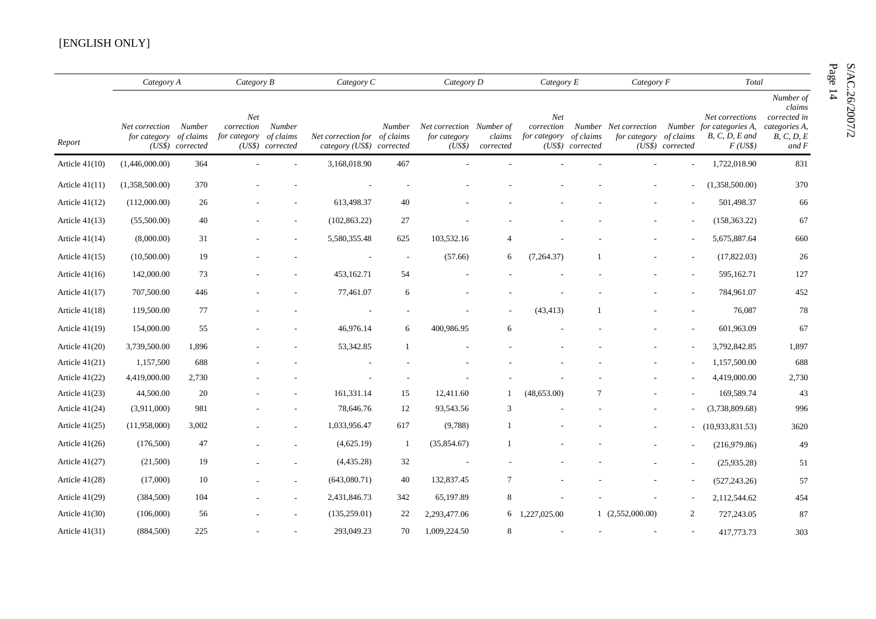### [ENGLISH ONLY]

|                  |                                          | Category A                 |                                             | Category B                 |                                                           | Category C               | Category D                                         |                     | Category $E$                             |                               | Category F             |                          | Total                                                                                            |                                                                               |
|------------------|------------------------------------------|----------------------------|---------------------------------------------|----------------------------|-----------------------------------------------------------|--------------------------|----------------------------------------------------|---------------------|------------------------------------------|-------------------------------|------------------------|--------------------------|--------------------------------------------------------------------------------------------------|-------------------------------------------------------------------------------|
| Report           | Net correction<br>for category of claims | Number<br>(US\$) corrected | Net<br>correction<br>for category of claims | Number<br>(US\$) corrected | Net correction for of claims<br>category (US\$) corrected | Number                   | Net correction Number of<br>for category<br>(US\$) | claims<br>corrected | <b>Net</b><br>correction<br>for category | of claims<br>(US\$) corrected | for category of claims | (US\$) corrected         | Net corrections<br>Number Net correction Number for categories A,<br>$B, C, D, E$ and<br>F(US\$) | Number of<br>clains<br>corrected in<br>categories A,<br>B, C, D, E<br>and $F$ |
| Article $41(10)$ | (1,446,000.00)                           | 364                        |                                             |                            | 3,168,018.90                                              | 467                      |                                                    |                     |                                          |                               |                        |                          | 1,722,018.90                                                                                     | 831                                                                           |
| Article $41(11)$ | (1,358,500.00)                           | 370                        |                                             |                            |                                                           |                          |                                                    |                     |                                          |                               |                        | ٠                        | (1,358,500.00)                                                                                   | 370                                                                           |
| Article $41(12)$ | (112,000.00)                             | 26                         |                                             |                            | 613,498.37                                                | 40                       |                                                    |                     |                                          |                               |                        |                          | 501,498.37                                                                                       | 66                                                                            |
| Article $41(13)$ | (55,500.00)                              | 40                         |                                             |                            | (102, 863.22)                                             | 27                       |                                                    |                     |                                          |                               |                        |                          | (158, 363.22)                                                                                    | 67                                                                            |
| Article $41(14)$ | (8,000.00)                               | 31                         |                                             |                            | 5,580,355.48                                              | 625                      | 103,532.16                                         | $\overline{4}$      |                                          |                               |                        |                          | 5,675,887.64                                                                                     | 660                                                                           |
| Article $41(15)$ | (10,500.00)                              | 19                         |                                             |                            |                                                           | $\overline{\phantom{a}}$ | (57.66)                                            | 6                   | (7,264.37)                               |                               |                        |                          | (17,822.03)                                                                                      | 26                                                                            |
| Article $41(16)$ | 142,000.00                               | 73                         |                                             |                            | 453,162.71                                                | 54                       |                                                    |                     |                                          |                               |                        |                          | 595,162.71                                                                                       | 127                                                                           |
| Article $41(17)$ | 707,500.00                               | 446                        |                                             |                            | 77,461.07                                                 | 6                        |                                                    |                     |                                          |                               |                        |                          | 784,961.07                                                                                       | 452                                                                           |
| Article $41(18)$ | 119,500.00                               | 77                         |                                             |                            |                                                           |                          |                                                    |                     | (43, 413)                                |                               |                        |                          | 76,087                                                                                           | 78                                                                            |
| Article $41(19)$ | 154,000.00                               | 55                         |                                             |                            | 46,976.14                                                 | 6                        | 400,986.95                                         | 6                   |                                          |                               |                        |                          | 601,963.09                                                                                       | 67                                                                            |
| Article $41(20)$ | 3,739,500.00                             | 1,896                      |                                             |                            | 53,342.85                                                 | 1                        |                                                    |                     |                                          |                               |                        |                          | 3,792,842.85                                                                                     | 1,897                                                                         |
| Article $41(21)$ | 1,157,500                                | 688                        |                                             |                            |                                                           |                          |                                                    |                     |                                          |                               |                        |                          | 1,157,500.00                                                                                     | 688                                                                           |
| Article $41(22)$ | 4,419,000.00                             | 2,730                      |                                             |                            |                                                           |                          |                                                    |                     |                                          |                               |                        |                          | 4,419,000.00                                                                                     | 2,730                                                                         |
| Article $41(23)$ | 44,500.00                                | 20                         |                                             |                            | 161,331.14                                                | 15                       | 12,411.60                                          | -1                  | (48,653.00)                              |                               |                        |                          | 169,589.74                                                                                       | 43                                                                            |
| Article $41(24)$ | (3,911,000)                              | 981                        |                                             |                            | 78,646.76                                                 | 12                       | 93,543.56                                          | 3                   |                                          |                               |                        |                          | (3,738,809.68)                                                                                   | 996                                                                           |
| Article $41(25)$ | (11,958,000)                             | 3,002                      |                                             |                            | 1,033,956.47                                              | 617                      | (9,788)                                            | -1                  |                                          |                               |                        |                          | (10,933,831.53)                                                                                  | 3620                                                                          |
| Article $41(26)$ | (176,500)                                | 47                         |                                             |                            | (4,625.19)                                                | -1                       | (35,854.67)                                        | -1                  |                                          |                               |                        |                          | (216,979.86)                                                                                     | 49                                                                            |
| Article $41(27)$ | (21,500)                                 | 19                         |                                             |                            | (4,435.28)                                                | 32                       |                                                    |                     |                                          |                               |                        |                          | (25,935.28)                                                                                      | 51                                                                            |
| Article $41(28)$ | (17,000)                                 | 10                         |                                             |                            | (643,080.71)                                              | 40                       | 132,837.45                                         | 7                   |                                          |                               |                        |                          | (527, 243.26)                                                                                    | 57                                                                            |
| Article $41(29)$ | (384, 500)                               | 104                        |                                             |                            | 2,431,846.73                                              | 342                      | 65,197.89                                          | 8                   |                                          |                               |                        |                          | 2,112,544.62                                                                                     | 454                                                                           |
| Article $41(30)$ | (106,000)                                | 56                         |                                             |                            | (135,259.01)                                              | 22                       | 2,293,477.06                                       | 6                   | 1,227,025.00                             |                               | 1(2,552,000.00)        | $\overline{2}$           | 727,243.05                                                                                       | 87                                                                            |
| Article $41(31)$ | (884, 500)                               | 225                        |                                             |                            | 293,049.23                                                | 70                       | 1,009,224.50                                       | 8                   |                                          |                               |                        | $\overline{\phantom{a}}$ | 417,773.73                                                                                       | 303                                                                           |

 $S/AC.26/2007/2$ <br>Page 14